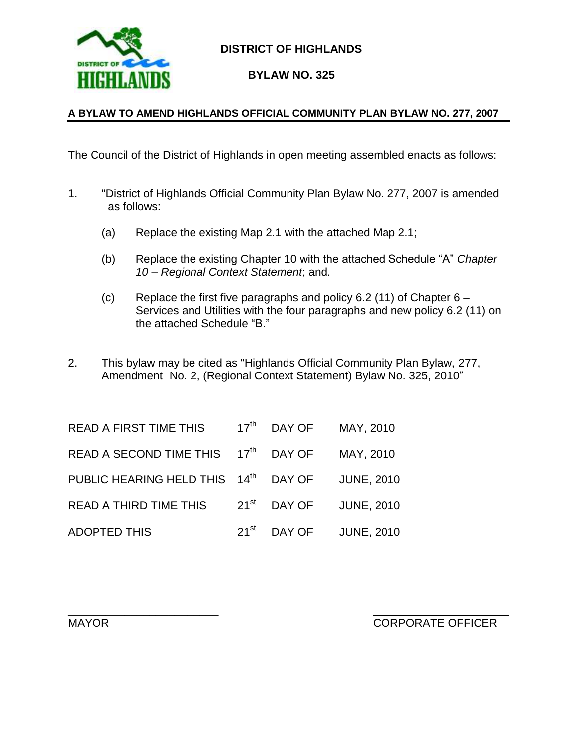

#### **DISTRICT OF HIGHLANDS**

**BYLAW NO. 325**

#### **A BYLAW TO AMEND HIGHLANDS OFFICIAL COMMUNITY PLAN BYLAW NO. 277, 2007**

The Council of the District of Highlands in open meeting assembled enacts as follows:

- 1. "District of Highlands Official Community Plan Bylaw No. 277, 2007 is amended as follows:
	- (a) Replace the existing Map 2.1 with the attached Map 2.1;
	- (b) Replace the existing Chapter 10 with the attached Schedule "A" *Chapter 10 – Regional Context Statement*; and*.*
	- (c) Replace the first five paragraphs and policy 6.2 (11) of Chapter  $6 -$ Services and Utilities with the four paragraphs and new policy 6.2 (11) on the attached Schedule "B."
- 2. This bylaw may be cited as "Highlands Official Community Plan Bylaw, 277, Amendment No. 2, (Regional Context Statement) Bylaw No. 325, 2010"

| <b>READ A FIRST TIME THIS</b> |                  | 17 <sup>th</sup> DAY OF | MAY, 2010         |
|-------------------------------|------------------|-------------------------|-------------------|
| READ A SECOND TIME THIS       | $17^{\text{th}}$ | DAY OF                  | MAY, 2010         |
| PUBLIC HEARING HELD THIS      | $14^{\text{th}}$ | DAY OF                  | <b>JUNE, 2010</b> |
| <b>READ A THIRD TIME THIS</b> | $21^{st}$        | DAY OF                  | <b>JUNE, 2010</b> |
| <b>ADOPTED THIS</b>           | $21^{\rm st}$    | DAY OF                  | <b>JUNE, 2010</b> |

\_\_\_\_\_\_\_\_\_\_\_\_\_\_\_\_\_\_\_\_\_\_\_\_

MAYOR EXAMPLE OF THE SERVICE OF THE CORPORATE OFFICER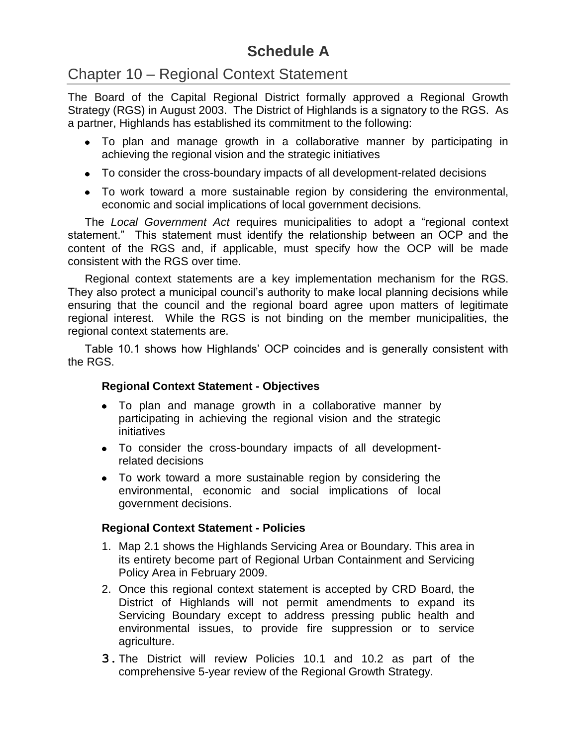## **Schedule A**

## Chapter 10 – Regional Context Statement

The Board of the Capital Regional District formally approved a Regional Growth Strategy (RGS) in August 2003. The District of Highlands is a signatory to the RGS. As a partner, Highlands has established its commitment to the following:

- To plan and manage growth in a collaborative manner by participating in achieving the regional vision and the strategic initiatives
- To consider the cross-boundary impacts of all development-related decisions
- To work toward a more sustainable region by considering the environmental, economic and social implications of local government decisions.

The *Local Government Act* requires municipalities to adopt a "regional context statement." This statement must identify the relationship between an OCP and the content of the RGS and, if applicable, must specify how the OCP will be made consistent with the RGS over time.

Regional context statements are a key implementation mechanism for the RGS. They also protect a municipal council's authority to make local planning decisions while ensuring that the council and the regional board agree upon matters of legitimate regional interest. While the RGS is not binding on the member municipalities, the regional context statements are.

Table 10.1 shows how Highlands' OCP coincides and is generally consistent with the RGS.

#### **Regional Context Statement - Objectives**

- To plan and manage growth in a collaborative manner by participating in achieving the regional vision and the strategic initiatives
- To consider the cross-boundary impacts of all developmentrelated decisions
- To work toward a more sustainable region by considering the environmental, economic and social implications of local government decisions.

#### **Regional Context Statement - Policies**

- 1. Map 2.1 shows the Highlands Servicing Area or Boundary. This area in its entirety become part of Regional Urban Containment and Servicing Policy Area in February 2009.
- 2. Once this regional context statement is accepted by CRD Board, the District of Highlands will not permit amendments to expand its Servicing Boundary except to address pressing public health and environmental issues, to provide fire suppression or to service agriculture.
- **3.**The District will review Policies 10.1 and 10.2 as part of the comprehensive 5-year review of the Regional Growth Strategy.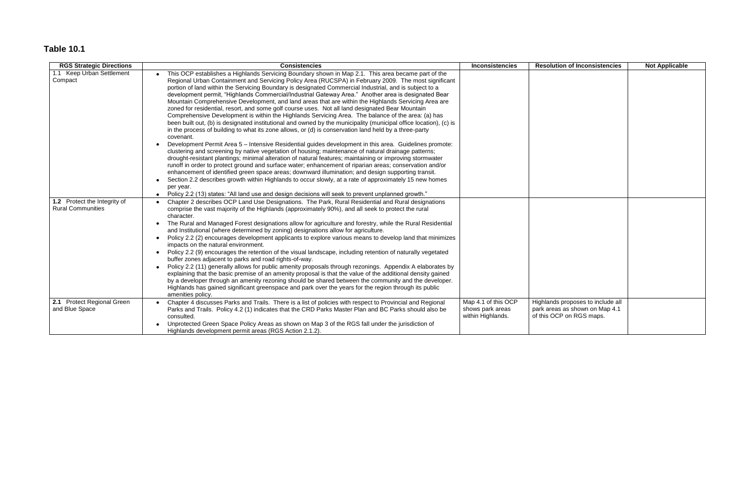# **Table 10.1**

| <b>RGS Strategic Directions</b>                          | <b>Consistencies</b>                                                                                                                                                                                                                                                                                                                                                                                                                                                                                                                                                                                                                                                                                                                                                                                                                                                                                                                                                                                                                                                                                                                                                                                                                                                                                                                                                                                                                                                                                                                                                                                                                                                                                                                                                                        | <b>Inconsistencies</b>                                       | <b>Resolution of Inconsistencies</b>                                                            | <b>Not Applicable</b> |
|----------------------------------------------------------|---------------------------------------------------------------------------------------------------------------------------------------------------------------------------------------------------------------------------------------------------------------------------------------------------------------------------------------------------------------------------------------------------------------------------------------------------------------------------------------------------------------------------------------------------------------------------------------------------------------------------------------------------------------------------------------------------------------------------------------------------------------------------------------------------------------------------------------------------------------------------------------------------------------------------------------------------------------------------------------------------------------------------------------------------------------------------------------------------------------------------------------------------------------------------------------------------------------------------------------------------------------------------------------------------------------------------------------------------------------------------------------------------------------------------------------------------------------------------------------------------------------------------------------------------------------------------------------------------------------------------------------------------------------------------------------------------------------------------------------------------------------------------------------------|--------------------------------------------------------------|-------------------------------------------------------------------------------------------------|-----------------------|
| 1.1 Keep Urban Settlement<br>Compact                     | This OCP establishes a Highlands Servicing Boundary shown in Map 2.1. This area became part of the<br>Regional Urban Containment and Servicing Policy Area (RUCSPA) in February 2009. The most significant<br>portion of land within the Servicing Boundary is designated Commercial Industrial, and is subject to a<br>development permit, "Highlands Commercial/Industrial Gateway Area." Another area is designated Bear<br>Mountain Comprehensive Development, and land areas that are within the Highlands Servicing Area are<br>zoned for residential, resort, and some golf course uses. Not all land designated Bear Mountain<br>Comprehensive Development is within the Highlands Servicing Area. The balance of the area: (a) has<br>been built out, (b) is designated institutional and owned by the municipality (municipal office location), (c) is<br>in the process of building to what its zone allows, or (d) is conservation land held by a three-party<br>covenant.<br>Development Permit Area 5 - Intensive Residential guides development in this area. Guidelines promote:<br>$\bullet$<br>clustering and screening by native vegetation of housing; maintenance of natural drainage patterns;<br>drought-resistant plantings; minimal alteration of natural features; maintaining or improving stormwater<br>runoff in order to protect ground and surface water; enhancement of riparian areas; conservation and/or<br>enhancement of identified green space areas; downward illumination; and design supporting transit.<br>Section 2.2 describes growth within Highlands to occur slowly, at a rate of approximately 15 new homes<br>per year.<br>Policy 2.2 (13) states: "All land use and design decisions will seek to prevent unplanned growth."<br>$\bullet$ |                                                              |                                                                                                 |                       |
| 1.2 Protect the Integrity of<br><b>Rural Communities</b> | Chapter 2 describes OCP Land Use Designations. The Park, Rural Residential and Rural designations<br>$\bullet$<br>comprise the vast majority of the Highlands (approximately 90%), and all seek to protect the rural<br>character.<br>The Rural and Managed Forest designations allow for agriculture and forestry, while the Rural Residential<br>and Institutional (where determined by zoning) designations allow for agriculture.<br>Policy 2.2 (2) encourages development applicants to explore various means to develop land that minimizes<br>impacts on the natural environment.<br>Policy 2.2 (9) encourages the retention of the visual landscape, including retention of naturally vegetated<br>buffer zones adjacent to parks and road rights-of-way.<br>Policy 2.2 (11) generally allows for public amenity proposals through rezonings. Appendix A elaborates by<br>$\bullet$<br>explaining that the basic premise of an amenity proposal is that the value of the additional density gained<br>by a developer through an amenity rezoning should be shared between the community and the developer.<br>Highlands has gained significant greenspace and park over the years for the region through its public<br>amenities policy.                                                                                                                                                                                                                                                                                                                                                                                                                                                                                                                                            |                                                              |                                                                                                 |                       |
| 2.1 Protect Regional Green<br>and Blue Space             | Chapter 4 discusses Parks and Trails. There is a list of policies with respect to Provincial and Regional<br>Parks and Trails. Policy 4.2 (1) indicates that the CRD Parks Master Plan and BC Parks should also be<br>consulted.<br>Unprotected Green Space Policy Areas as shown on Map 3 of the RGS fall under the jurisdiction of<br>Highlands development permit areas (RGS Action 2.1.2).                                                                                                                                                                                                                                                                                                                                                                                                                                                                                                                                                                                                                                                                                                                                                                                                                                                                                                                                                                                                                                                                                                                                                                                                                                                                                                                                                                                              | Map 4.1 of this OCP<br>shows park areas<br>within Highlands. | Highlands proposes to include all<br>park areas as shown on Map 4.1<br>of this OCP on RGS maps. |                       |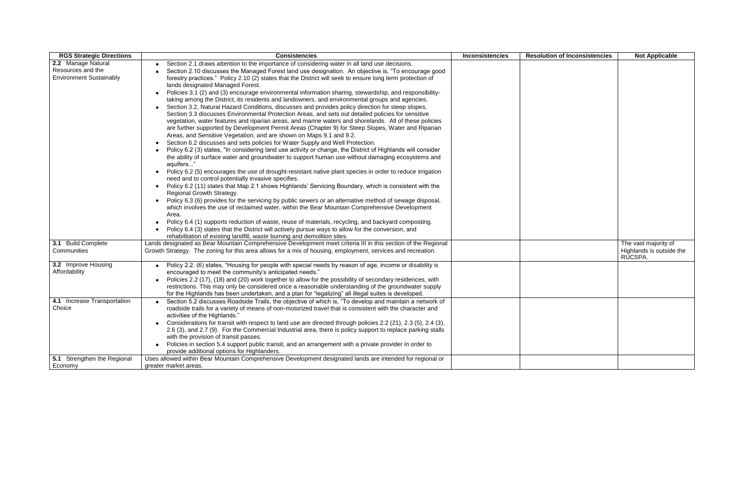| <b>RGS Strategic Directions</b> | <b>Consistencies</b>                                                                                                     | <b>Inconsistencies</b> | <b>Resolution of Inconsistencies</b> | <b>Not Applicable</b>    |
|---------------------------------|--------------------------------------------------------------------------------------------------------------------------|------------------------|--------------------------------------|--------------------------|
| 2.2 Manage Natural              | Section 2.1 draws attention to the importance of considering water in all land use decisions.                            |                        |                                      |                          |
| Resources and the               | Section 2.10 discusses the Managed Forest land use designation. An objective is, "To encourage good                      |                        |                                      |                          |
| <b>Environment Sustainably</b>  | forestry practices." Policy 2.10 (2) states that the District will seek to ensure long term protection of                |                        |                                      |                          |
|                                 | lands designated Managed Forest.                                                                                         |                        |                                      |                          |
|                                 | Policies 3.1 (2) and (3) encourage environmental information sharing, stewardship, and responsibility-<br>$\bullet$      |                        |                                      |                          |
|                                 | taking among the District, its residents and landowners, and environmental groups and agencies.                          |                        |                                      |                          |
|                                 | Section 3.2, Natural Hazard Conditions, discusses and provides policy direction for steep slopes.<br>$\bullet$           |                        |                                      |                          |
|                                 | Section 3.3 discusses Environmental Protection Areas, and sets out detailed policies for sensitive                       |                        |                                      |                          |
|                                 | vegetation, water features and riparian areas, and marine waters and shorelands. All of these policies                   |                        |                                      |                          |
|                                 | are further supported by Development Permit Areas (Chapter 9) for Steep Slopes, Water and Riparian                       |                        |                                      |                          |
|                                 | Areas, and Sensitive Vegetation, and are shown on Maps 9.1 and 9.2.                                                      |                        |                                      |                          |
|                                 | Section 6.2 discusses and sets policies for Water Supply and Well Protection.                                            |                        |                                      |                          |
|                                 | Policy 6.2 (3) states, "In considering land use activity or change, the District of Highlands will consider<br>$\bullet$ |                        |                                      |                          |
|                                 | the ability of surface water and groundwater to support human use without damaging ecosystems and                        |                        |                                      |                          |
|                                 | aquifers"                                                                                                                |                        |                                      |                          |
|                                 | Policy 6.2 (5) encourages the use of drought-resistant native plant species in order to reduce irrigation<br>$\bullet$   |                        |                                      |                          |
|                                 | need and to control potentially invasive specifies.                                                                      |                        |                                      |                          |
|                                 | Policy 6.2 (11) states that Map 2.1 shows Highlands' Servicing Boundary, which is consistent with the<br>$\bullet$       |                        |                                      |                          |
|                                 | Regional Growth Strategy.                                                                                                |                        |                                      |                          |
|                                 | Policy 6.3 (6) provides for the servicing by public sewers or an alternative method of sewage disposal,<br>$\bullet$     |                        |                                      |                          |
|                                 | which involves the use of reclaimed water, within the Bear Mountain Comprehensive Development                            |                        |                                      |                          |
|                                 | Area.                                                                                                                    |                        |                                      |                          |
|                                 | Policy 6.4 (1) supports reduction of waste, reuse of materials, recycling, and backyard composting.<br>$\bullet$         |                        |                                      |                          |
|                                 | Policy 6.4 (3) states that the District will actively pursue ways to allow for the conversion, and                       |                        |                                      |                          |
|                                 | rehabilitation of existing landfill, waste burning and demolition sites.                                                 |                        |                                      |                          |
| 3.1 Build Complete              | Lands designated as Bear Mountain Comprehensive Development meet criteria III in this section of the Regional            |                        |                                      | The vast majority of     |
| Communities                     | Growth Strategy. The zoning for this area allows for a mix of housing, employment, services and recreation.              |                        |                                      | Highlands is outside the |
|                                 |                                                                                                                          |                        |                                      | RUCSPA.                  |
| 3.2 Improve Housing             | Policy 2.2. (6) states, "Housing for people with special needs by reason of age, income or disability is                 |                        |                                      |                          |
| Affordability                   | encouraged to meet the community's anticipated needs."                                                                   |                        |                                      |                          |
|                                 | Policies 2.2 (17), (18) and (20) work together to allow for the possibility of secondary residences, with                |                        |                                      |                          |
|                                 | restrictions. This may only be considered once a reasonable understanding of the groundwater supply                      |                        |                                      |                          |
|                                 | for the Highlands has been undertaken, and a plan for "legalizing" all illegal suites is developed.                      |                        |                                      |                          |
| 4.1 Increase Transportation     | Section 5.2 discusses Roadside Trails, the objective of which is, "To develop and maintain a network of                  |                        |                                      |                          |
| Choice                          | roadside trails for a variety of means of non-motorized travel that is consistent with the character and                 |                        |                                      |                          |
|                                 | activities of the Highlands."                                                                                            |                        |                                      |                          |
|                                 | Considerations for transit with respect to land use are directed through policies 2.2 (21), 2.3 (5), 2.4 (3),            |                        |                                      |                          |
|                                 | 2.6 (3), and 2.7 (9). For the Commercial Industrial area, there is policy support to replace parking stalls              |                        |                                      |                          |
|                                 | with the provision of transit passes.                                                                                    |                        |                                      |                          |
|                                 | Policies in section 5.4 support public transit, and an arrangement with a private provider in order to                   |                        |                                      |                          |
|                                 | provide additional options for Highlanders.                                                                              |                        |                                      |                          |
| 5.1 Strengthen the Regional     | Uses allowed within Bear Mountain Comprehensive Development designated lands are intended for regional or                |                        |                                      |                          |
| Economy                         | greater market areas.                                                                                                    |                        |                                      |                          |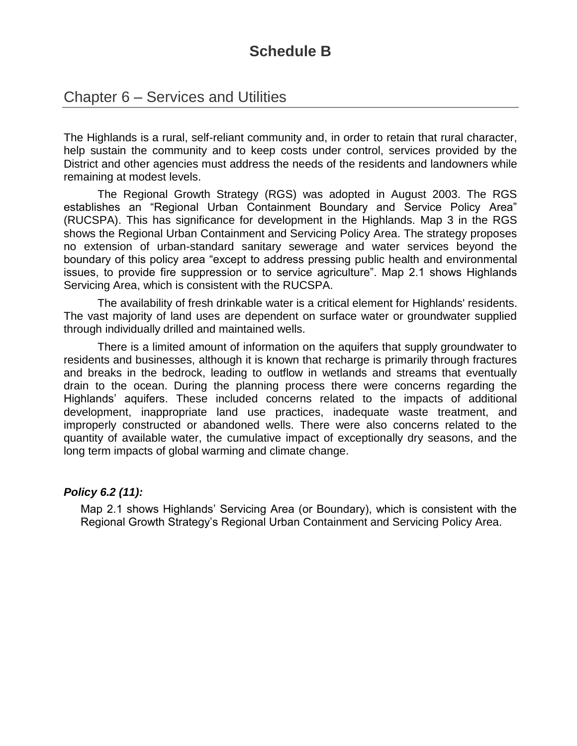## **Schedule B**

### Chapter 6 – Services and Utilities

The Highlands is a rural, self-reliant community and, in order to retain that rural character, help sustain the community and to keep costs under control, services provided by the District and other agencies must address the needs of the residents and landowners while remaining at modest levels.

The Regional Growth Strategy (RGS) was adopted in August 2003. The RGS establishes an "Regional Urban Containment Boundary and Service Policy Area" (RUCSPA). This has significance for development in the Highlands. Map 3 in the RGS shows the Regional Urban Containment and Servicing Policy Area. The strategy proposes no extension of urban-standard sanitary sewerage and water services beyond the boundary of this policy area "except to address pressing public health and environmental issues, to provide fire suppression or to service agriculture". Map 2.1 shows Highlands Servicing Area, which is consistent with the RUCSPA.

The availability of fresh drinkable water is a critical element for Highlands' residents. The vast majority of land uses are dependent on surface water or groundwater supplied through individually drilled and maintained wells.

There is a limited amount of information on the aquifers that supply groundwater to residents and businesses, although it is known that recharge is primarily through fractures and breaks in the bedrock, leading to outflow in wetlands and streams that eventually drain to the ocean. During the planning process there were concerns regarding the Highlands' aquifers. These included concerns related to the impacts of additional development, inappropriate land use practices, inadequate waste treatment, and improperly constructed or abandoned wells. There were also concerns related to the quantity of available water, the cumulative impact of exceptionally dry seasons, and the long term impacts of global warming and climate change.

#### *Policy 6.2 (11):*

Map 2.1 shows Highlands' Servicing Area (or Boundary), which is consistent with the Regional Growth Strategy's Regional Urban Containment and Servicing Policy Area.